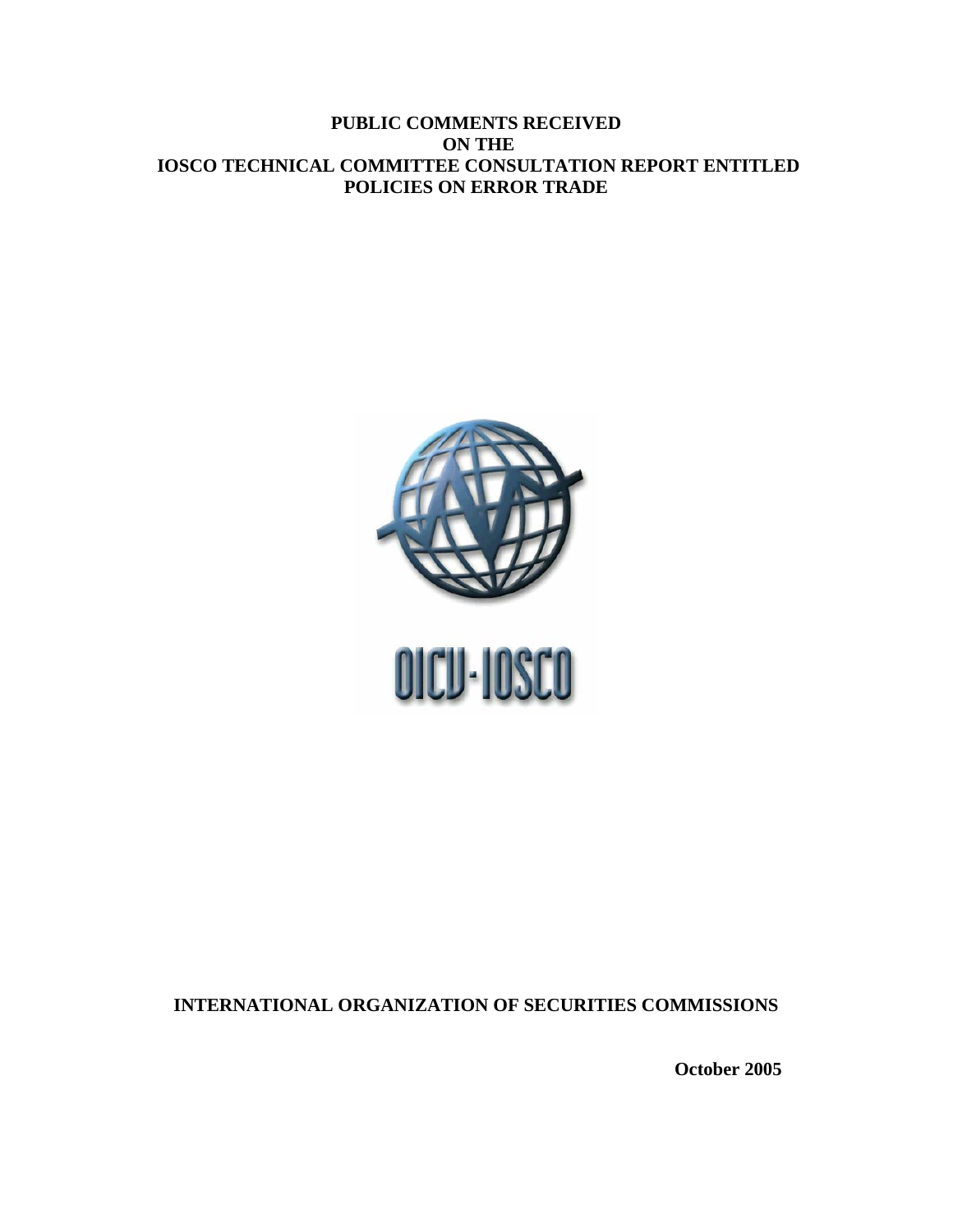# **PUBLIC COMMENTS RECEIVED ON THE IOSCO TECHNICAL COMMITTEE CONSULTATION REPORT ENTITLED POLICIES ON ERROR TRADE**



**INTERNATIONAL ORGANIZATION OF SECURITIES COMMISSIONS** 

**October 2005**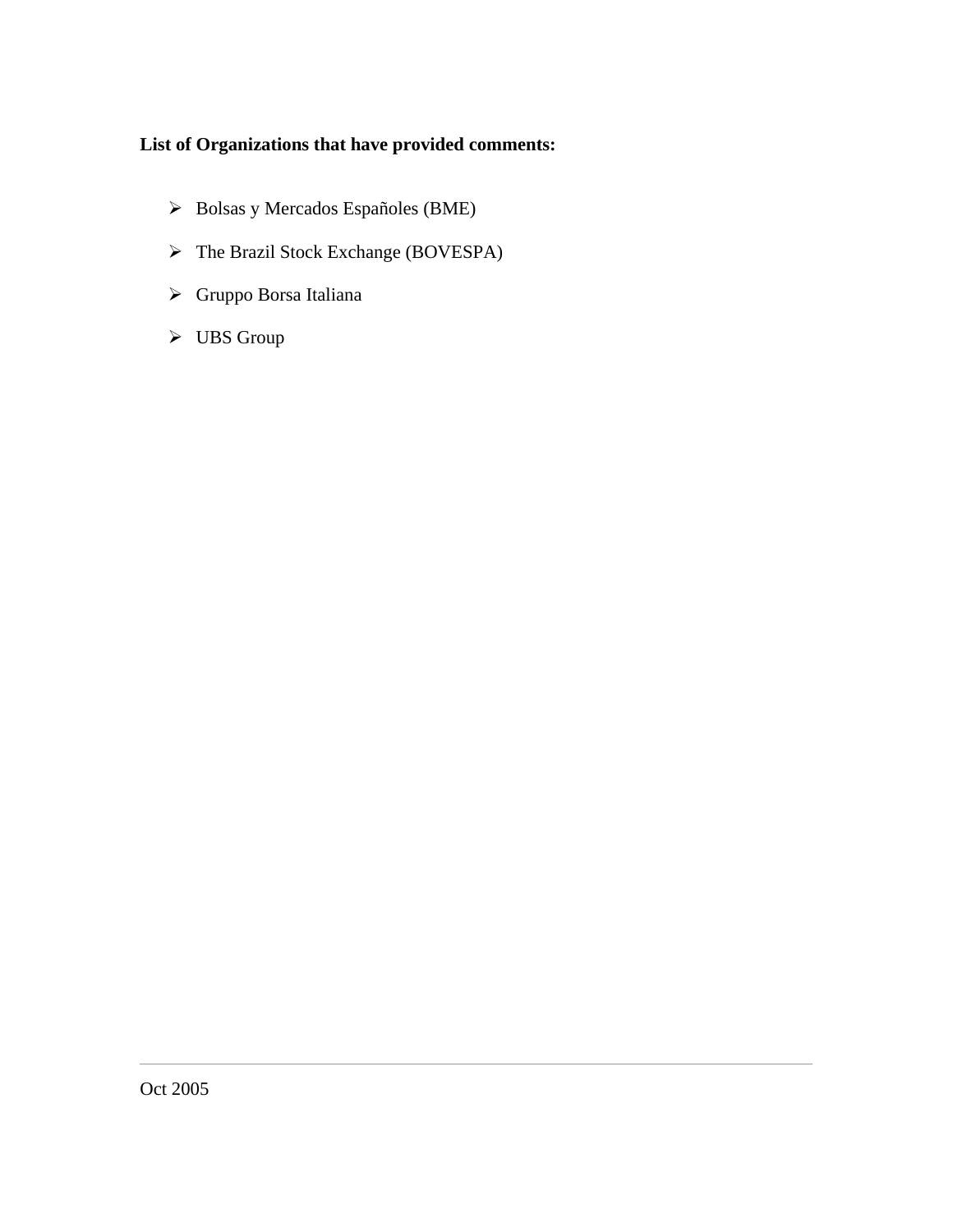# **List of Organizations that have provided comments:**

- ¾ Bolsas y Mercados Españoles (BME)
- ¾ The Brazil Stock Exchange (BOVESPA)
- ¾ Gruppo Borsa Italiana
- $\triangleright$  UBS Group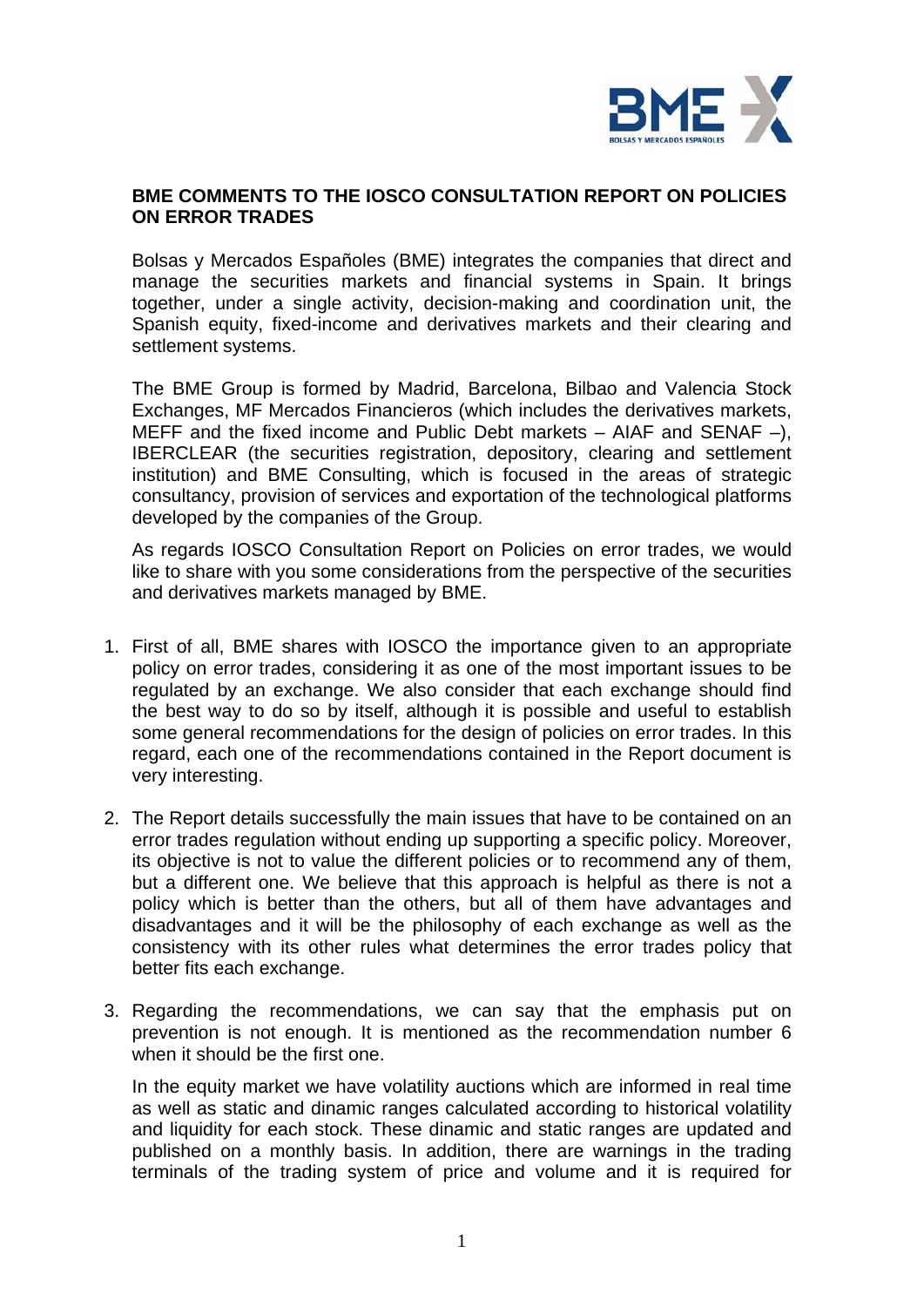

# **BME COMMENTS TO THE IOSCO CONSULTATION REPORT ON POLICIES ON ERROR TRADES**

Bolsas y Mercados Españoles (BME) integrates the companies that direct and manage the securities markets and financial systems in Spain. It brings together, under a single activity, decision-making and coordination unit, the Spanish equity, fixed-income and derivatives markets and their clearing and settlement systems.

The BME Group is formed by Madrid, Barcelona, Bilbao and Valencia Stock Exchanges, MF Mercados Financieros (which includes the derivatives markets, MEFF and the fixed income and Public Debt markets  $-$  AIAF and SENAF  $-$ ), IBERCLEAR (the securities registration, depository, clearing and settlement institution) and BME Consulting, which is focused in the areas of strategic consultancy, provision of services and exportation of the technological platforms developed by the companies of the Group.

As regards IOSCO Consultation Report on Policies on error trades, we would like to share with you some considerations from the perspective of the securities and derivatives markets managed by BME.

- 1. First of all, BME shares with IOSCO the importance given to an appropriate policy on error trades, considering it as one of the most important issues to be regulated by an exchange. We also consider that each exchange should find the best way to do so by itself, although it is possible and useful to establish some general recommendations for the design of policies on error trades. In this regard, each one of the recommendations contained in the Report document is very interesting.
- 2. The Report details successfully the main issues that have to be contained on an error trades regulation without ending up supporting a specific policy. Moreover, its objective is not to value the different policies or to recommend any of them, but a different one. We believe that this approach is helpful as there is not a policy which is better than the others, but all of them have advantages and disadvantages and it will be the philosophy of each exchange as well as the consistency with its other rules what determines the error trades policy that better fits each exchange.
- 3. Regarding the recommendations, we can say that the emphasis put on prevention is not enough. It is mentioned as the recommendation number 6 when it should be the first one.

In the equity market we have volatility auctions which are informed in real time as well as static and dinamic ranges calculated according to historical volatility and liquidity for each stock. These dinamic and static ranges are updated and published on a monthly basis. In addition, there are warnings in the trading terminals of the trading system of price and volume and it is required for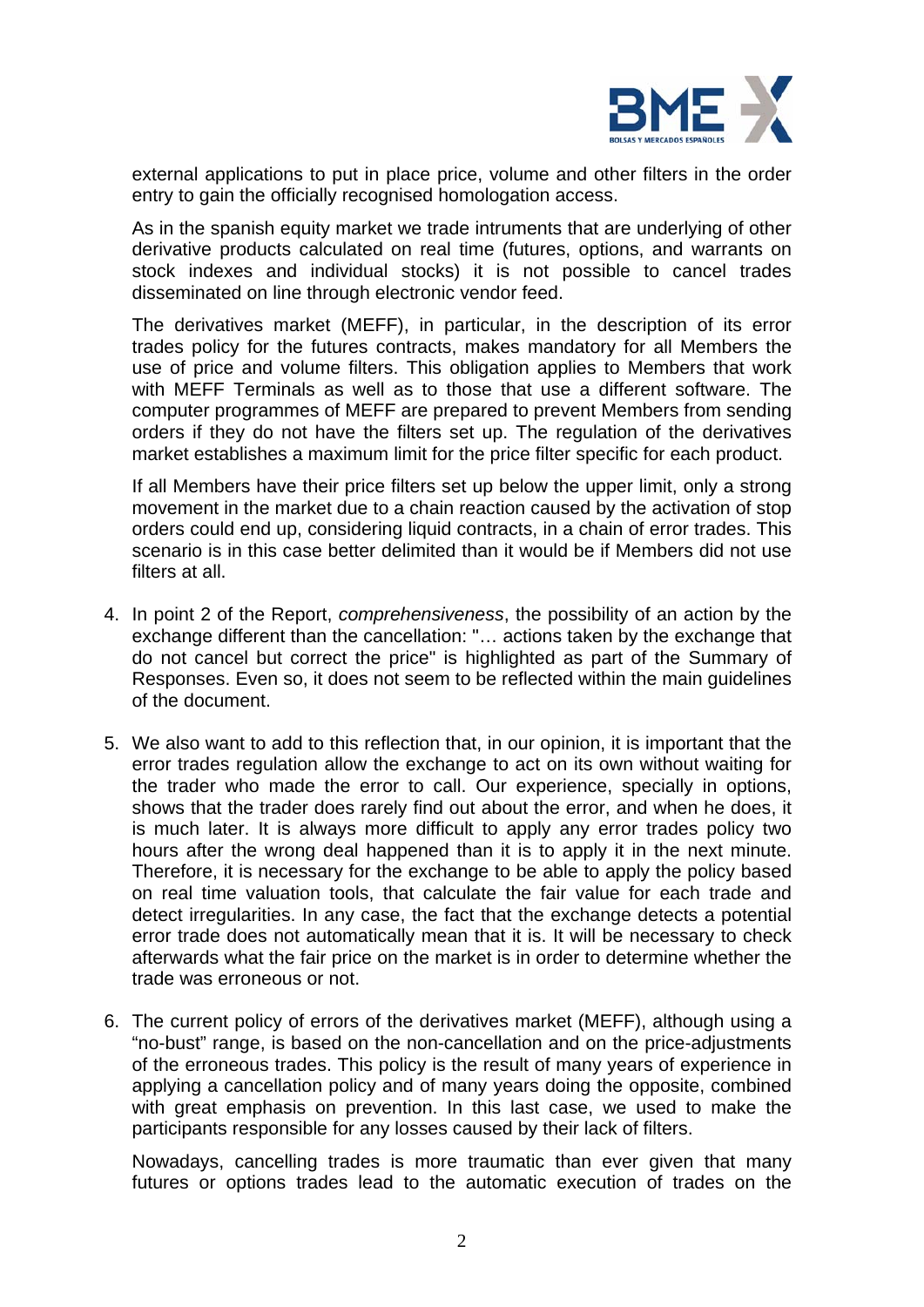

external applications to put in place price, volume and other filters in the order entry to gain the officially recognised homologation access.

As in the spanish equity market we trade intruments that are underlying of other derivative products calculated on real time (futures, options, and warrants on stock indexes and individual stocks) it is not possible to cancel trades disseminated on line through electronic vendor feed.

The derivatives market (MEFF), in particular, in the description of its error trades policy for the futures contracts, makes mandatory for all Members the use of price and volume filters. This obligation applies to Members that work with MEFF Terminals as well as to those that use a different software. The computer programmes of MEFF are prepared to prevent Members from sending orders if they do not have the filters set up. The regulation of the derivatives market establishes a maximum limit for the price filter specific for each product.

If all Members have their price filters set up below the upper limit, only a strong movement in the market due to a chain reaction caused by the activation of stop orders could end up, considering liquid contracts, in a chain of error trades. This scenario is in this case better delimited than it would be if Members did not use filters at all.

- 4. In point 2 of the Report, *comprehensiveness*, the possibility of an action by the exchange different than the cancellation: "… actions taken by the exchange that do not cancel but correct the price" is highlighted as part of the Summary of Responses. Even so, it does not seem to be reflected within the main guidelines of the document.
- 5. We also want to add to this reflection that, in our opinion, it is important that the error trades regulation allow the exchange to act on its own without waiting for the trader who made the error to call. Our experience, specially in options, shows that the trader does rarely find out about the error, and when he does, it is much later. It is always more difficult to apply any error trades policy two hours after the wrong deal happened than it is to apply it in the next minute. Therefore, it is necessary for the exchange to be able to apply the policy based on real time valuation tools, that calculate the fair value for each trade and detect irregularities. In any case, the fact that the exchange detects a potential error trade does not automatically mean that it is. It will be necessary to check afterwards what the fair price on the market is in order to determine whether the trade was erroneous or not.
- 6. The current policy of errors of the derivatives market (MEFF), although using a "no-bust" range, is based on the non-cancellation and on the price-adjustments of the erroneous trades. This policy is the result of many years of experience in applying a cancellation policy and of many years doing the opposite, combined with great emphasis on prevention. In this last case, we used to make the participants responsible for any losses caused by their lack of filters.

Nowadays, cancelling trades is more traumatic than ever given that many futures or options trades lead to the automatic execution of trades on the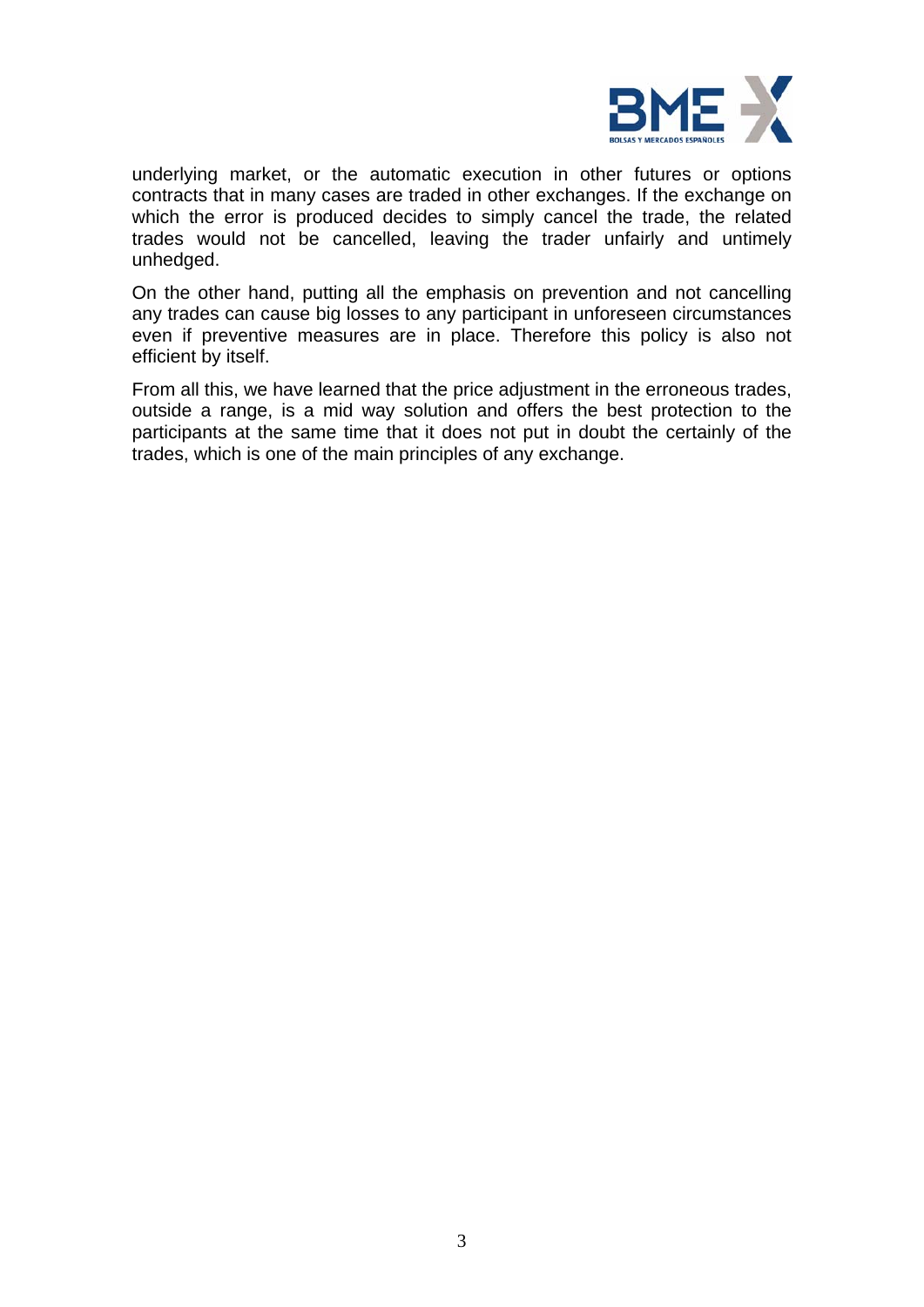

underlying market, or the automatic execution in other futures or options contracts that in many cases are traded in other exchanges. If the exchange on which the error is produced decides to simply cancel the trade, the related trades would not be cancelled, leaving the trader unfairly and untimely unhedged.

On the other hand, putting all the emphasis on prevention and not cancelling any trades can cause big losses to any participant in unforeseen circumstances even if preventive measures are in place. Therefore this policy is also not efficient by itself.

From all this, we have learned that the price adjustment in the erroneous trades, outside a range, is a mid way solution and offers the best protection to the participants at the same time that it does not put in doubt the certainly of the trades, which is one of the main principles of any exchange.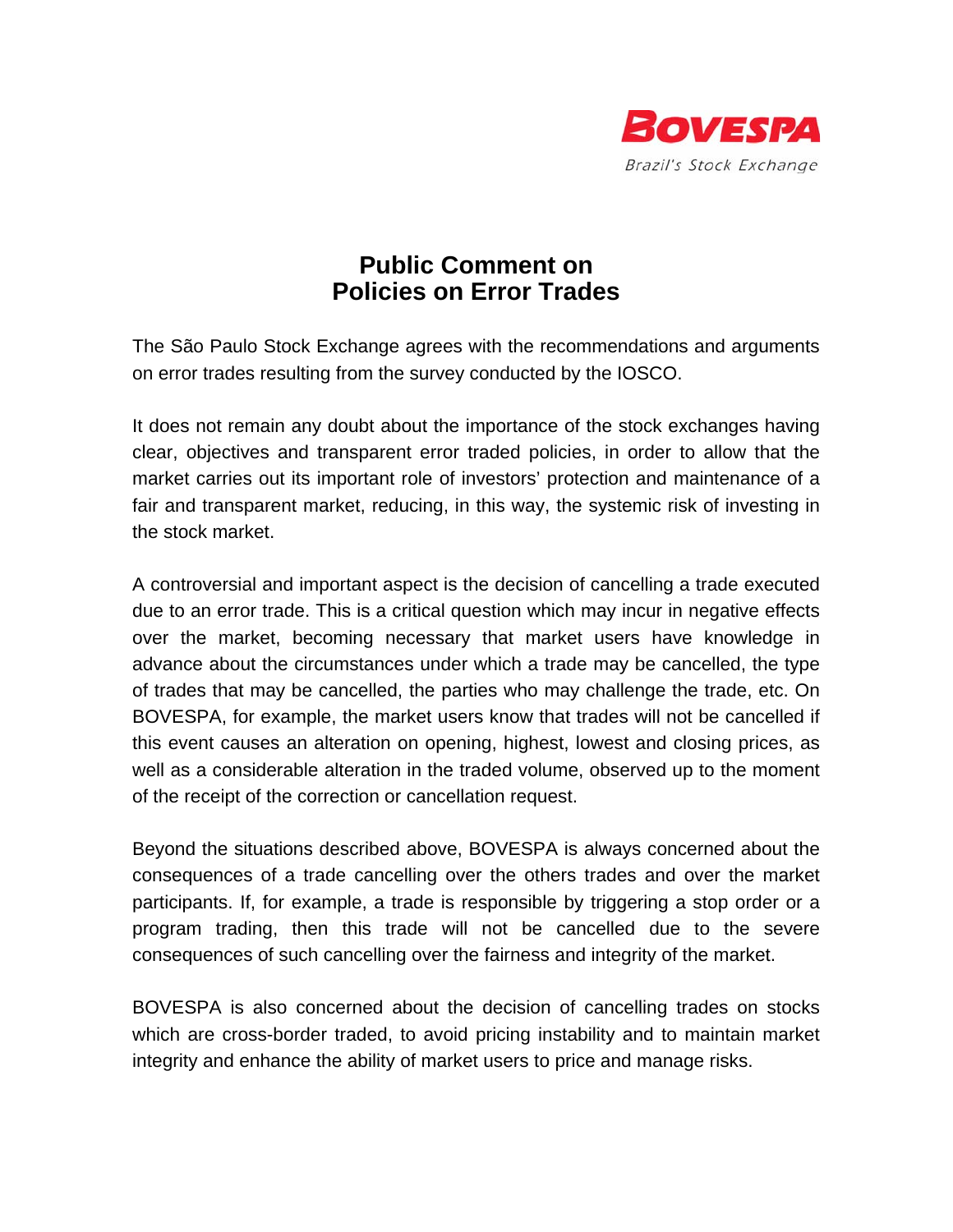

# **Public Comment on Policies on Error Trades**

The São Paulo Stock Exchange agrees with the recommendations and arguments on error trades resulting from the survey conducted by the IOSCO.

It does not remain any doubt about the importance of the stock exchanges having clear, objectives and transparent error traded policies, in order to allow that the market carries out its important role of investors' protection and maintenance of a fair and transparent market, reducing, in this way, the systemic risk of investing in the stock market.

A controversial and important aspect is the decision of cancelling a trade executed due to an error trade. This is a critical question which may incur in negative effects over the market, becoming necessary that market users have knowledge in advance about the circumstances under which a trade may be cancelled, the type of trades that may be cancelled, the parties who may challenge the trade, etc. On BOVESPA, for example, the market users know that trades will not be cancelled if this event causes an alteration on opening, highest, lowest and closing prices, as well as a considerable alteration in the traded volume, observed up to the moment of the receipt of the correction or cancellation request.

Beyond the situations described above, BOVESPA is always concerned about the consequences of a trade cancelling over the others trades and over the market participants. If, for example, a trade is responsible by triggering a stop order or a program trading, then this trade will not be cancelled due to the severe consequences of such cancelling over the fairness and integrity of the market.

BOVESPA is also concerned about the decision of cancelling trades on stocks which are cross-border traded, to avoid pricing instability and to maintain market integrity and enhance the ability of market users to price and manage risks.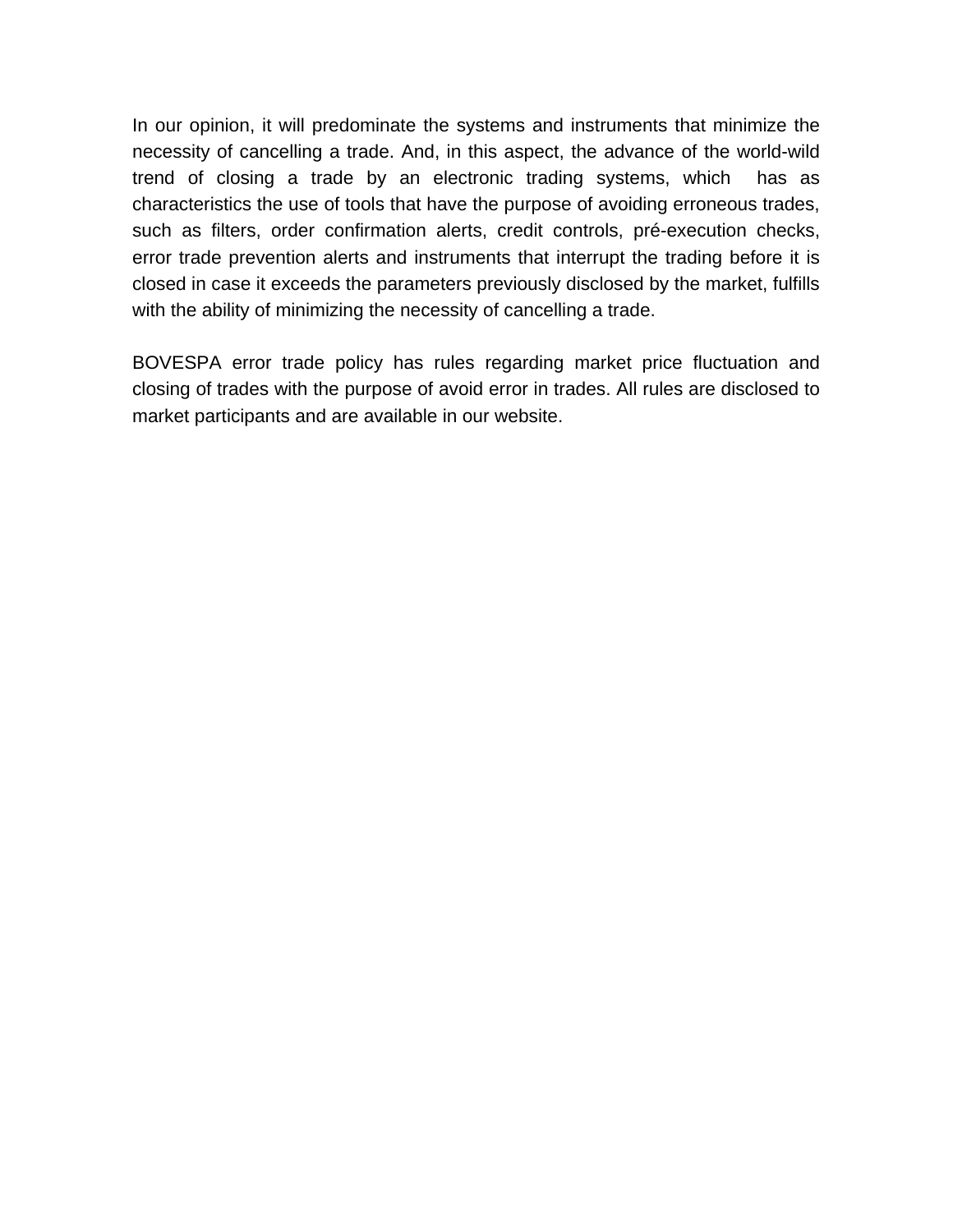In our opinion, it will predominate the systems and instruments that minimize the necessity of cancelling a trade. And, in this aspect, the advance of the world-wild trend of closing a trade by an electronic trading systems, which has as characteristics the use of tools that have the purpose of avoiding erroneous trades, such as filters, order confirmation alerts, credit controls, pré-execution checks, error trade prevention alerts and instruments that interrupt the trading before it is closed in case it exceeds the parameters previously disclosed by the market, fulfills with the ability of minimizing the necessity of cancelling a trade.

BOVESPA error trade policy has rules regarding market price fluctuation and closing of trades with the purpose of avoid error in trades. All rules are disclosed to market participants and are available in our website.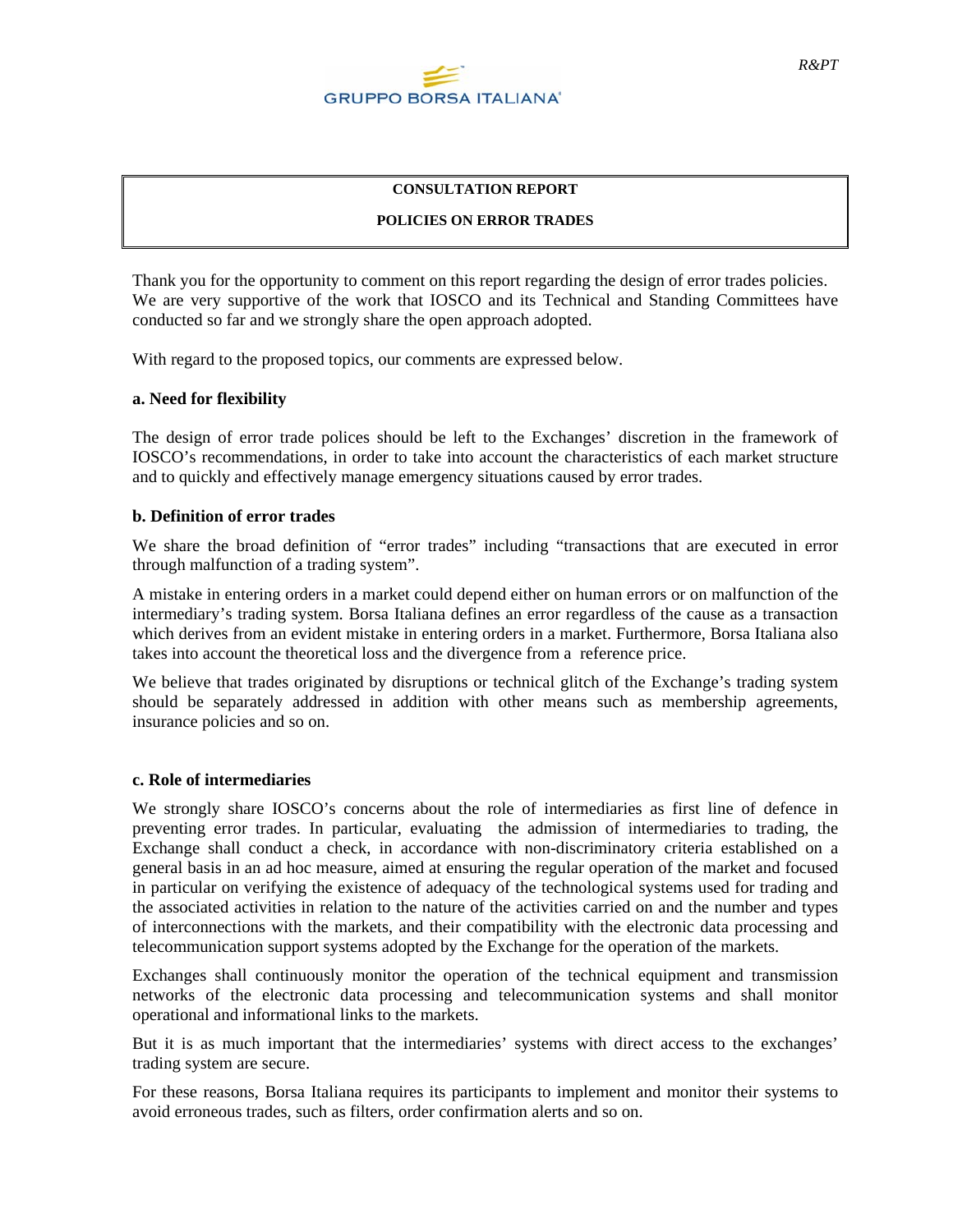

### **CONSULTATION REPORT**

# **POLICIES ON ERROR TRADES**

Thank you for the opportunity to comment on this report regarding the design of error trades policies. We are very supportive of the work that IOSCO and its Technical and Standing Committees have conducted so far and we strongly share the open approach adopted.

With regard to the proposed topics, our comments are expressed below.

# **a. Need for flexibility**

The design of error trade polices should be left to the Exchanges' discretion in the framework of IOSCO's recommendations, in order to take into account the characteristics of each market structure and to quickly and effectively manage emergency situations caused by error trades.

### **b. Definition of error trades**

We share the broad definition of "error trades" including "transactions that are executed in error through malfunction of a trading system".

A mistake in entering orders in a market could depend either on human errors or on malfunction of the intermediary's trading system. Borsa Italiana defines an error regardless of the cause as a transaction which derives from an evident mistake in entering orders in a market. Furthermore, Borsa Italiana also takes into account the theoretical loss and the divergence from a reference price.

We believe that trades originated by disruptions or technical glitch of the Exchange's trading system should be separately addressed in addition with other means such as membership agreements, insurance policies and so on.

#### **c. Role of intermediaries**

We strongly share IOSCO's concerns about the role of intermediaries as first line of defence in preventing error trades. In particular, evaluating the admission of intermediaries to trading, the Exchange shall conduct a check, in accordance with non-discriminatory criteria established on a general basis in an ad hoc measure, aimed at ensuring the regular operation of the market and focused in particular on verifying the existence of adequacy of the technological systems used for trading and the associated activities in relation to the nature of the activities carried on and the number and types of interconnections with the markets, and their compatibility with the electronic data processing and telecommunication support systems adopted by the Exchange for the operation of the markets.

Exchanges shall continuously monitor the operation of the technical equipment and transmission networks of the electronic data processing and telecommunication systems and shall monitor operational and informational links to the markets.

But it is as much important that the intermediaries' systems with direct access to the exchanges' trading system are secure.

For these reasons, Borsa Italiana requires its participants to implement and monitor their systems to avoid erroneous trades, such as filters, order confirmation alerts and so on.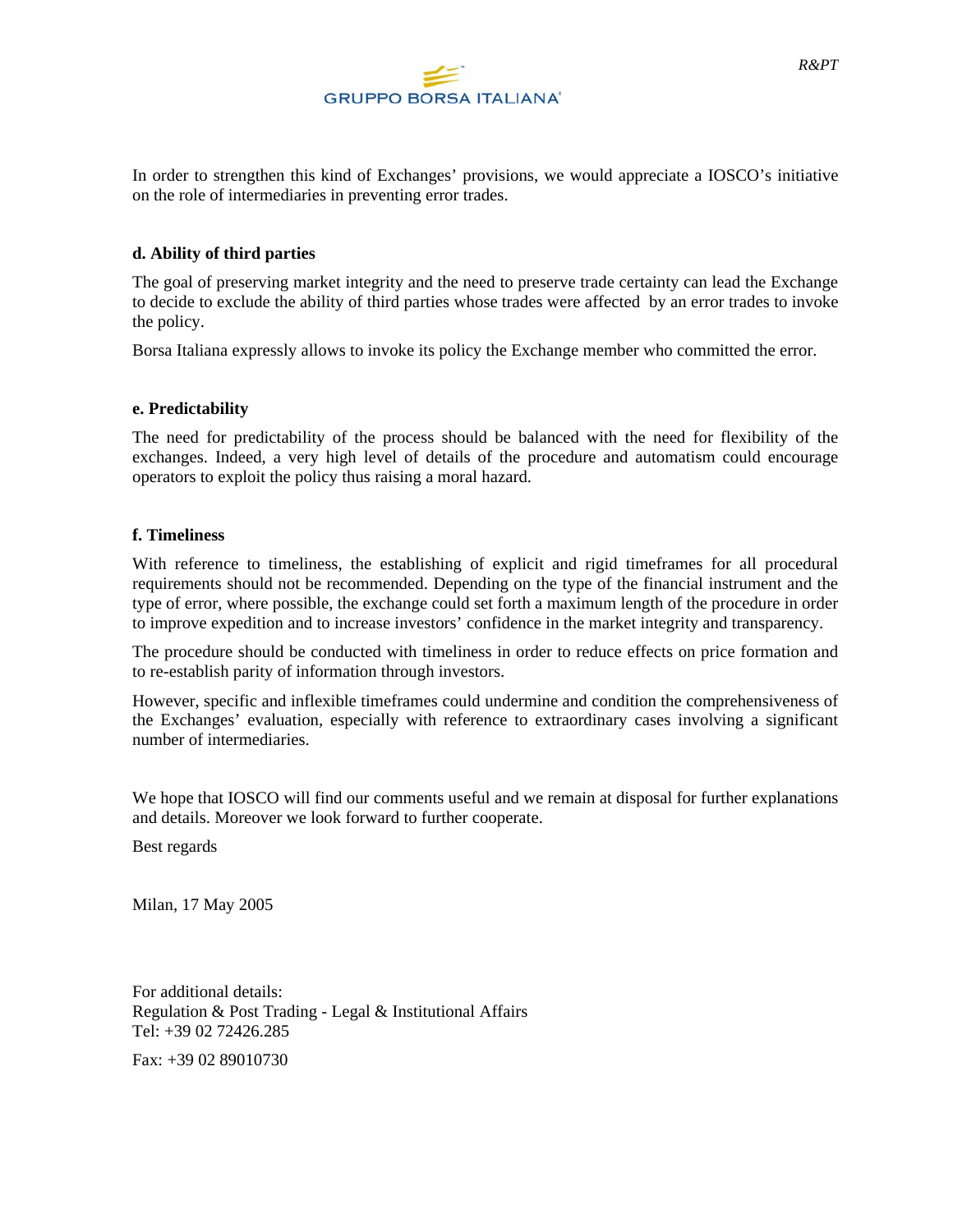

In order to strengthen this kind of Exchanges' provisions, we would appreciate a IOSCO's initiative on the role of intermediaries in preventing error trades.

# **d. Ability of third parties**

The goal of preserving market integrity and the need to preserve trade certainty can lead the Exchange to decide to exclude the ability of third parties whose trades were affected by an error trades to invoke the policy.

Borsa Italiana expressly allows to invoke its policy the Exchange member who committed the error.

# **e. Predictability**

The need for predictability of the process should be balanced with the need for flexibility of the exchanges. Indeed, a very high level of details of the procedure and automatism could encourage operators to exploit the policy thus raising a moral hazard.

# **f. Timeliness**

With reference to timeliness, the establishing of explicit and rigid timeframes for all procedural requirements should not be recommended. Depending on the type of the financial instrument and the type of error, where possible, the exchange could set forth a maximum length of the procedure in order to improve expedition and to increase investors' confidence in the market integrity and transparency.

The procedure should be conducted with timeliness in order to reduce effects on price formation and to re-establish parity of information through investors.

However, specific and inflexible timeframes could undermine and condition the comprehensiveness of the Exchanges' evaluation, especially with reference to extraordinary cases involving a significant number of intermediaries.

We hope that IOSCO will find our comments useful and we remain at disposal for further explanations and details. Moreover we look forward to further cooperate.

Best regards

Milan, 17 May 2005

For additional details: Regulation & Post Trading - Legal & Institutional Affairs Tel: +39 02 72426.285

Fax: +39 02 89010730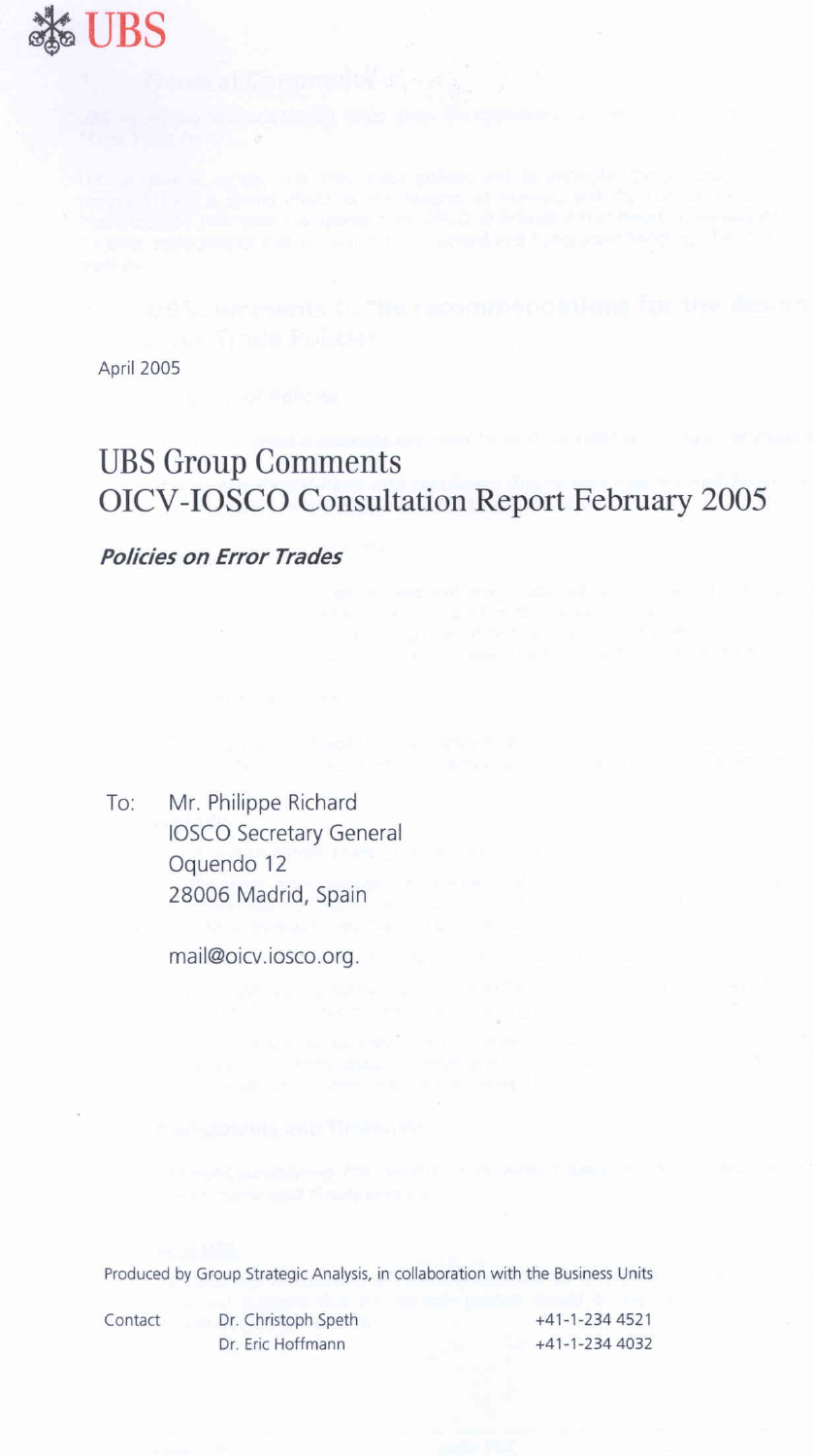

April 2005

# **UBS Group Comments OICV-IOSCO Consultation Report February 2005**

**Policies on Error Trades** 

Mr. Philippe Richard To: **IOSCO Secretary General** Oquendo 12 28006 Madrid, Spain

mail@oicv.iosco.org.

Produced by Group Strategic Analysis, in collaboration with the Business Units

Contact

Dr. Christoph Speth Dr. Eric Hoffmann

+41-1-234 4521 +41-1-234 4032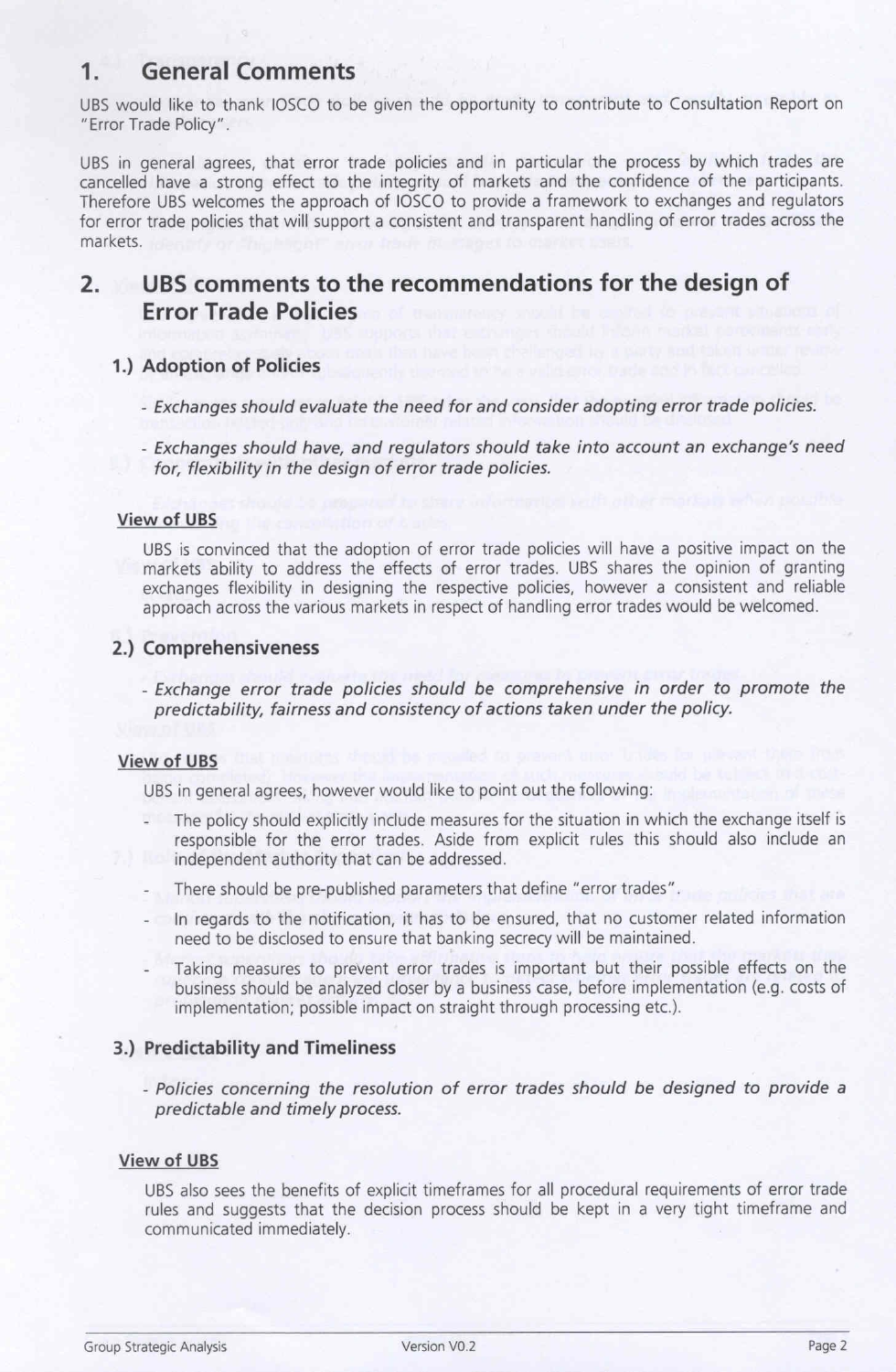#### **General Comments**  $1.$

UBS would like to thank IOSCO to be given the opportunity to contribute to Consultation Report on "Error Trade Policy".

UBS in general agrees, that error trade policies and in particular the process by which trades are cancelled have a strong effect to the integrity of markets and the confidence of the participants. Therefore UBS welcomes the approach of IOSCO to provide a framework to exchanges and regulators for error trade policies that will support a consistent and transparent handling of error trades across the markets.

#### $2.$ UBS comments to the recommendations for the design of **Error Trade Policies**

# 1.) Adoption of Policies

- Exchanges should evaluate the need for and consider adopting error trade policies.
- Exchanges should have, and regulators should take into account an exchange's need for, flexibility in the design of error trade policies.

# **View of UBS**

UBS is convinced that the adoption of error trade policies will have a positive impact on the markets ability to address the effects of error trades. UBS shares the opinion of granting exchanges flexibility in designing the respective policies, however a consistent and reliable approach across the various markets in respect of handling error trades would be welcomed.

# 2.) Comprehensiveness

- Exchange error trade policies should be comprehensive in order to promote the predictability, fairness and consistency of actions taken under the policy.

# **View of UBS**

UBS in general agrees, however would like to point out the following:

- The policy should explicitly include measures for the situation in which the exchange itself is responsible for the error trades. Aside from explicit rules this should also include an independent authority that can be addressed.
- There should be pre-published parameters that define "error trades".
- In regards to the notification, it has to be ensured, that no customer related information need to be disclosed to ensure that banking secrecy will be maintained.
- Taking measures to prevent error trades is important but their possible effects on the business should be analyzed closer by a business case, before implementation (e.g. costs of implementation; possible impact on straight through processing etc.).

# 3.) Predictability and Timeliness

- Policies concerning the resolution of error trades should be designed to provide a predictable and timely process.

# **View of UBS**

UBS also sees the benefits of explicit timeframes for all procedural requirements of error trade rules and suggests that the decision process should be kept in a very tight timeframe and communicated immediately.